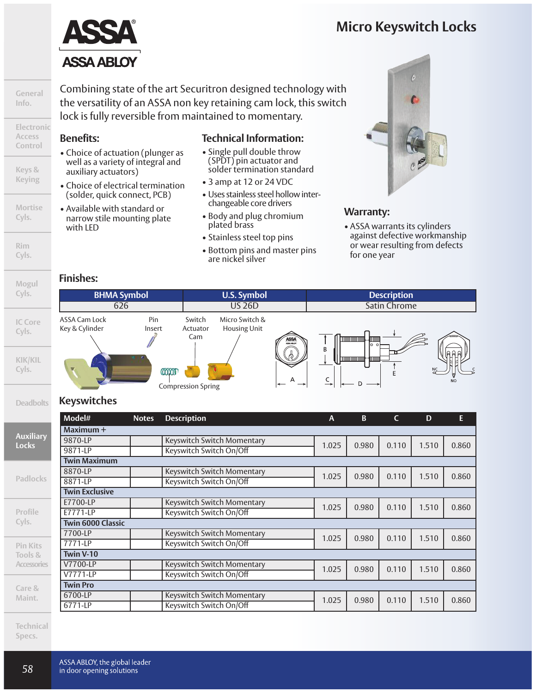

Combining state of the art Securitron designed technology with the versatility of an ASSA non key retaining cam lock, this switch lock is fully reversible from maintained to momentary.

#### **Benefits:**

**General Info.**

**Electronic Access Control**

**Keys & Keying**

**Mortise Cyls.**

**Rim Cyls.**

**Mogul**

- Choice of actuation (plunger as well as a variety of integral and auxiliary actuators)
- Choice of electrical termination (solder, quick connect, PCB)
- Available with standard or narrow stile mounting plate with LED

#### **Technical Information:**

- Single pull double throw (SPDT) pin actuator and solder termination standard
- 3 amp at 12 or 24 VDC
- Uses stainless steel hollow interchangeable core drivers
- Body and plug chromium plated brass
- Stainless steel top pins
- Bottom pins and master pins are nickel silver



#### **Warranty:**

• ASSA warrants its cylinders against defective workmanship or wear resulting from defects for one year

#### **Finishes:**



#### **Deadbolts Keyswitches**

|                                  | Model#                   | <b>Notes</b> | <b>Description</b>         | A     | <sub>B</sub> | $\mathsf{C}$ | D     | E     |
|----------------------------------|--------------------------|--------------|----------------------------|-------|--------------|--------------|-------|-------|
|                                  | Maximum +                |              |                            |       |              |              |       |       |
| <b>Auxiliary</b><br><b>Locks</b> | 9870-LP                  |              | Keyswitch Switch Momentary | 1.025 | 0.980        | 0.110        | 1.510 | 0.860 |
|                                  | 9871-LP                  |              | Keyswitch Switch On/Off    |       |              |              |       |       |
|                                  | <b>Twin Maximum</b>      |              |                            |       |              |              |       |       |
|                                  | 8870-LP                  |              | Keyswitch Switch Momentary | 1.025 | 0.980        | 0.110        | 1.510 | 0.860 |
| <b>Padlocks</b>                  | 8871-LP                  |              | Keyswitch Switch On/Off    |       |              |              |       |       |
|                                  | <b>Twin Exclusive</b>    |              |                            |       |              |              |       |       |
|                                  | E7700-LP                 |              | Keyswitch Switch Momentary | 1.025 | 0.980        | 0.110        | 1.510 | 0.860 |
| Profile                          | E7771-LP                 |              | Keyswitch Switch On/Off    |       |              |              |       |       |
| Cyls.                            | <b>Twin 6000 Classic</b> |              |                            |       |              |              |       |       |
|                                  | 7700-LP                  |              | Keyswitch Switch Momentary | 1.025 | 0.980        | 0.110        | 1.510 | 0.860 |
| <b>Pin Kits</b>                  | 7771-LP                  |              | Keyswitch Switch On/Off    |       |              |              |       |       |
| Tools &                          | Twin V-10                |              |                            |       |              |              |       |       |
| <b>Accessories</b>               | V7700-LP                 |              | Keyswitch Switch Momentary | 1.025 | 0.980        | 0.110        | 1.510 | 0.860 |
|                                  | V7771-LP                 |              | Keyswitch Switch On/Off    |       |              |              |       |       |
| Care &                           | <b>Twin Pro</b>          |              |                            |       |              |              |       |       |
| Maint.                           | 6700-LP                  |              | Keyswitch Switch Momentary | 1.025 | 0.980        | 0.110        | 1.510 | 0.860 |
|                                  | 6771-LP                  |              | Keyswitch Switch On/Off    |       |              |              |       |       |

**Technical Specs.**

**Maint.**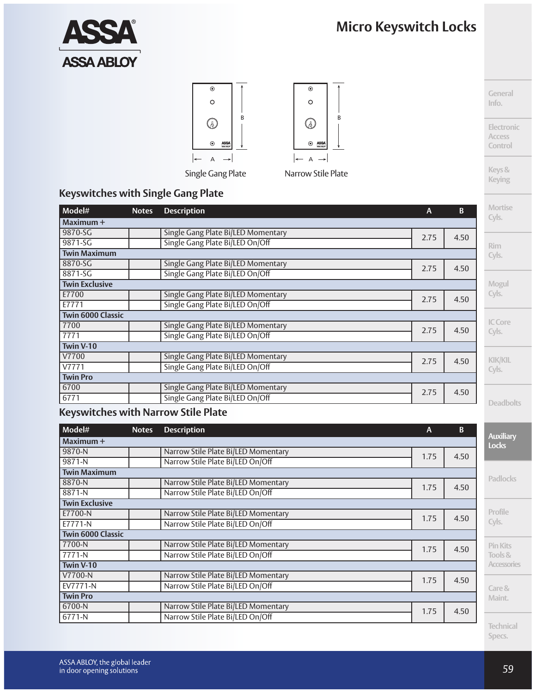**General Info.**

**Electronic Access Control**

**Keys& Keying**





|     | $\odot$                                                                                 |                   |
|-----|-----------------------------------------------------------------------------------------|-------------------|
|     | O                                                                                       |                   |
|     |                                                                                         | B                 |
|     | $\underset{\scriptscriptstyle{NSM}\times\scriptscriptstyle{N}}{\text{ASSA}}$<br>$\odot$ |                   |
|     | Δ                                                                                       |                   |
| . . | ı<br>. .<br>r                                                                           | ı<br>$\mathbf{r}$ |

#### **Keyswitches with Single Gang Plate**

| Model#              | <b>Notes</b> | <b>Description</b>                 | A    | B    | <b>Mortise</b>   |
|---------------------|--------------|------------------------------------|------|------|------------------|
| Maximum +           |              |                                    |      |      | Cyls.            |
| 9870-SG             |              | Single Gang Plate Bi/LED Momentary | 2.75 | 4.50 |                  |
| 9871-SG             |              | Single Gang Plate Bi/LED On/Off    |      |      | <b>Rim</b>       |
| <b>Twin Maximum</b> |              |                                    |      |      | Cyls.            |
| 8870-SG             |              | Single Gang Plate Bi/LED Momentary | 2.75 | 4.50 |                  |
| 8871-SG             |              | Single Gang Plate Bi/LED On/Off    |      |      |                  |
| Twin Exclusive      |              |                                    |      |      | Mogul            |
| E7700               |              | Single Gang Plate Bi/LED Momentary | 2.75 | 4.50 | Cyls.            |
| E7771               |              | Single Gang Plate Bi/LED On/Off    |      |      |                  |
| Twin 6000 Classic   |              |                                    |      |      |                  |
| 7700                |              | Single Gang Plate Bi/LED Momentary | 2.75 | 4.50 | IC Core          |
| 7771                |              | Single Gang Plate Bi/LED On/Off    |      |      | Cyls.            |
| Twin V-10           |              |                                    |      |      |                  |
| V7700               |              | Single Gang Plate Bi/LED Momentary | 2.75 | 4.50 | <b>KIK/KIL</b>   |
| V7771               |              | Single Gang Plate Bi/LED On/Off    |      |      | Cyls.            |
| <b>Twin Pro</b>     |              |                                    |      |      |                  |
| 6700                |              | Single Gang Plate Bi/LED Momentary |      |      |                  |
| 6771                |              | Single Gang Plate Bi/LED On/Off    | 2.75 | 4.50 | <b>Deadbolts</b> |

#### **Keyswitches with Narrow Stile Plate**

| Model#                   | <b>Notes</b> | <b>Description</b>                  | $\mathsf{A}$ | B    | <b>Auxiliary</b>   |
|--------------------------|--------------|-------------------------------------|--------------|------|--------------------|
| Maximum +                |              |                                     |              |      | <b>Locks</b>       |
| 9870-N                   |              | Narrow Stile Plate Bi/LED Momentary | 1.75         | 4.50 |                    |
| 9871-N                   |              | Narrow Stile Plate Bi/LED On/Off    |              |      |                    |
| <b>Twin Maximum</b>      |              |                                     |              |      |                    |
| 8870-N                   |              | Narrow Stile Plate Bi/LED Momentary | 1.75         | 4.50 | <b>Padlocks</b>    |
| 8871-N                   |              | Narrow Stile Plate Bi/LED On/Off    |              |      |                    |
| <b>Twin Exclusive</b>    |              |                                     |              |      |                    |
| E7700-N                  |              | Narrow Stile Plate Bi/LED Momentary | 1.75         | 4.50 | Profile            |
| E7771-N                  |              | Narrow Stile Plate Bi/LED On/Off    |              |      | Cyls.              |
| <b>Twin 6000 Classic</b> |              |                                     |              |      |                    |
| 7700-N                   |              | Narrow Stile Plate Bi/LED Momentary | 1.75         | 4.50 | <b>Pin Kits</b>    |
| 7771-N                   |              | Narrow Stile Plate Bi/LED On/Off    |              |      | Tools &            |
| Twin V-10                |              |                                     |              |      | <b>Accessories</b> |
| V7700-N                  |              | Narrow Stile Plate Bi/LED Momentary | 1.75         | 4.50 |                    |
| <b>EV7771-N</b>          |              | Narrow Stile Plate Bi/LED On/Off    |              |      | Care &             |
| <b>Twin Pro</b>          |              |                                     |              |      | Maint.             |
| 6700-N                   |              | Narrow Stile Plate Bi/LED Momentary | 1.75         | 4.50 |                    |
| $6771 - N$               |              | Narrow Stile Plate Bi/LED On/Off    |              |      |                    |

**Technical Specs.**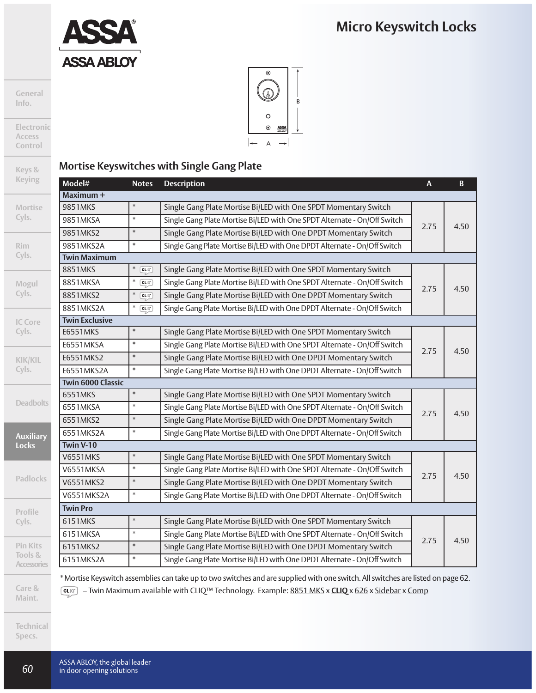

**General Info.**

**Electronic Access Control**

**Keys & Keying**

**Mortise Cyls.**

**Rim Cyls.**

**Mogul Cyls.**

**IC Core Cyls.**

**KIK/KIL Cyls.**

**Deadbolt** 

**Auxiliar Locks**

**Padlock** 

**Profile Cyls.**

**Pin Kits Tools &**

**Accessorie** 

**Care & Maint.**

**Technical Specs.**



### **Mortise Keyswitches with Single Gang Plate**

| Model#                   | <b>Notes</b>   | <b>Description</b>                                                       | $\mathsf{A}$ | $\mathbf B$ |
|--------------------------|----------------|--------------------------------------------------------------------------|--------------|-------------|
| Maximum +                |                |                                                                          |              |             |
| 9851MKS                  | $\ast$         | Single Gang Plate Mortise Bi/LED with One SPDT Momentary Switch          |              |             |
| 9851MKSA                 | $\ast$         | Single Gang Plate Mortise Bi/LED with One SPDT Alternate - On/Off Switch |              |             |
| 9851MKS2                 | $\ast$         | Single Gang Plate Mortise Bi/LED with One DPDT Momentary Switch          | 2.75         | 4.50        |
| 9851MKS2A                | $\ast$         | Single Gang Plate Mortise Bi/LED with One DPDT Alternate - On/Off Switch |              |             |
| <b>Twin Maximum</b>      |                |                                                                          |              |             |
| 8851MKS                  | $\ast$<br>CLIO | Single Gang Plate Mortise Bi/LED with One SPDT Momentary Switch          |              |             |
| 8851MKSA                 | *<br>CLQ       | Single Gang Plate Mortise Bi/LED with One SPDT Alternate - On/Off Switch | 2.75         | 4.50        |
| 8851MKS2                 | $\ast$<br>CLIO | Single Gang Plate Mortise Bi/LED with One DPDT Momentary Switch          |              |             |
| 8851MKS2A                | *<br>CLQ       | Single Gang Plate Mortise Bi/LED with One DPDT Alternate - On/Off Switch |              |             |
| <b>Twin Exclusive</b>    |                |                                                                          |              |             |
| <b>E6551MKS</b>          | $\ast$         | Single Gang Plate Mortise Bi/LED with One SPDT Momentary Switch          |              |             |
| E6551MKSA                | $\ast$         | Single Gang Plate Mortise Bi/LED with One SPDT Alternate - On/Off Switch | 2.75         | 4.50        |
| E6551MKS2                | $\ast$         | Single Gang Plate Mortise Bi/LED with One DPDT Momentary Switch          |              |             |
| E6551MKS2A               | $\ast$         | Single Gang Plate Mortise Bi/LED with One DPDT Alternate - On/Off Switch |              |             |
| <b>Twin 6000 Classic</b> |                |                                                                          |              |             |
| 6551MKS                  | $\ast$         | Single Gang Plate Mortise Bi/LED with One SPDT Momentary Switch          |              |             |
| 6551MKSA                 | $\ast$         | Single Gang Plate Mortise Bi/LED with One SPDT Alternate - On/Off Switch | 2.75         | 4.50        |
| 6551MKS2                 | $\ast$         | Single Gang Plate Mortise Bi/LED with One DPDT Momentary Switch          |              |             |
| 6551MKS2A                | $\ast$         | Single Gang Plate Mortise Bi/LED with One DPDT Alternate - On/Off Switch |              |             |
| Twin V-10                |                |                                                                          |              |             |
| <b>V6551MKS</b>          | $\ast$         | Single Gang Plate Mortise Bi/LED with One SPDT Momentary Switch          |              |             |
| V6551MKSA                | $\ast$         | Single Gang Plate Mortise Bi/LED with One SPDT Alternate - On/Off Switch | 2.75         | 4.50        |
| <b>V6551MKS2</b>         | $\ast$         | Single Gang Plate Mortise Bi/LED with One DPDT Momentary Switch          |              |             |
| V6551MKS2A               | $\ast$         | Single Gang Plate Mortise Bi/LED with One DPDT Alternate - On/Off Switch |              |             |
| <b>Twin Pro</b>          |                |                                                                          |              |             |
| 6151MKS                  | $\ast$         | Single Gang Plate Mortise Bi/LED with One SPDT Momentary Switch          |              |             |
| 6151MKSA                 | $\ast$         | Single Gang Plate Mortise Bi/LED with One SPDT Alternate - On/Off Switch |              |             |
| 6151MKS2                 | $\ast$         | Single Gang Plate Mortise Bi/LED with One DPDT Momentary Switch          | 2.75         | 4.50        |
| 6151MKS2A                | $\ast$         | Single Gang Plate Mortise Bi/LED with One DPDT Alternate - On/Off Switch |              |             |

\* Mortise Keyswitch assemblies can take up to two switches and are supplied with one switch. All switches are listed on page 62. – Twin Maximum available with CLIQ™ Technology. Example: 8851 MKS x **CLIQ** x 626 x Sidebar x Comp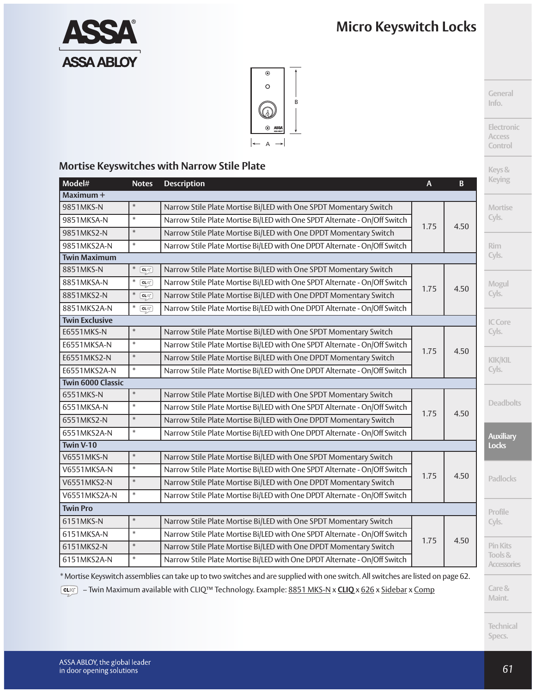

**General Info.**

**Electronic Access Control**

**Keys&**

Ī



#### **Mortise Keyswitches with Narrow Stile Plate**

| Model#                | <b>Notes</b>                                                                                                                                                                                                                                                                                                                                                                | <b>Description</b>                                                        | $\mathsf{A}$ | B    | <b>Keying</b>                 |
|-----------------------|-----------------------------------------------------------------------------------------------------------------------------------------------------------------------------------------------------------------------------------------------------------------------------------------------------------------------------------------------------------------------------|---------------------------------------------------------------------------|--------------|------|-------------------------------|
| Maximum +             |                                                                                                                                                                                                                                                                                                                                                                             |                                                                           |              |      |                               |
| 9851MKS-N             | $\ast$                                                                                                                                                                                                                                                                                                                                                                      | Narrow Stile Plate Mortise Bi/LED with One SPDT Momentary Switch          |              |      | <b>Mortise</b>                |
| 9851MKSA-N            | $\ast$                                                                                                                                                                                                                                                                                                                                                                      | Narrow Stile Plate Mortise Bi/LED with One SPDT Alternate - On/Off Switch | 1.75         | 4.50 | Cyls.                         |
| 9851MKS2-N            | $\ast$                                                                                                                                                                                                                                                                                                                                                                      | Narrow Stile Plate Mortise Bi/LED with One DPDT Momentary Switch          |              |      |                               |
| 9851MKS2A-N           | $\ast$                                                                                                                                                                                                                                                                                                                                                                      | Narrow Stile Plate Mortise Bi/LED with One DPDT Alternate - On/Off Switch |              |      | <b>Rim</b>                    |
| <b>Twin Maximum</b>   |                                                                                                                                                                                                                                                                                                                                                                             |                                                                           |              |      | Cyls.                         |
| 8851MKS-N             | $\ast$ $CLIQ$                                                                                                                                                                                                                                                                                                                                                               | Narrow Stile Plate Mortise Bi/LED with One SPDT Momentary Switch          |              |      |                               |
| 8851MKSA-N            | $\begin{picture}(20,5) \put(0,0){\vector(0,1){10}} \put(15,0){\vector(0,1){10}} \put(15,0){\vector(0,1){10}} \put(15,0){\vector(0,1){10}} \put(15,0){\vector(0,1){10}} \put(15,0){\vector(0,1){10}} \put(15,0){\vector(0,1){10}} \put(15,0){\vector(0,1){10}} \put(15,0){\vector(0,1){10}} \put(15,0){\vector(0,1){10}} \put(15,0){\vector(0,1){10}} \put(15,0){\vector(0,$ | Narrow Stile Plate Mortise Bi/LED with One SPDT Alternate - On/Off Switch | 1.75         | 4.50 | Mogul                         |
| 8851MKS2-N            | $\overline{\text{CLIC}}$                                                                                                                                                                                                                                                                                                                                                    | Narrow Stile Plate Mortise Bi/LED with One DPDT Momentary Switch          |              |      | Cyls.                         |
| 8851MKS2A-N           | $\ast$ CLIQ                                                                                                                                                                                                                                                                                                                                                                 | Narrow Stile Plate Mortise Bi/LED with One DPDT Alternate - On/Off Switch |              |      |                               |
| <b>Twin Exclusive</b> |                                                                                                                                                                                                                                                                                                                                                                             |                                                                           |              |      | IC Core                       |
| E6551MKS-N            | $\ast$                                                                                                                                                                                                                                                                                                                                                                      | Narrow Stile Plate Mortise Bi/LED with One SPDT Momentary Switch          |              |      | Cyls.                         |
| E6551MKSA-N           | $\ast$                                                                                                                                                                                                                                                                                                                                                                      | Narrow Stile Plate Mortise Bi/LED with One SPDT Alternate - On/Off Switch | 1.75         | 4.50 |                               |
| E6551MKS2-N           | $\ast$                                                                                                                                                                                                                                                                                                                                                                      | Narrow Stile Plate Mortise Bi/LED with One DPDT Momentary Switch          |              |      | <b>KIK/KIL</b>                |
| E6551MKS2A-N          | $\ast$                                                                                                                                                                                                                                                                                                                                                                      | Narrow Stile Plate Mortise Bi/LED with One DPDT Alternate - On/Off Switch |              |      | Cyls.                         |
| Twin 6000 Classic     |                                                                                                                                                                                                                                                                                                                                                                             |                                                                           |              |      |                               |
| 6551MKS-N             | $\ast$                                                                                                                                                                                                                                                                                                                                                                      | Narrow Stile Plate Mortise Bi/LED with One SPDT Momentary Switch          |              |      |                               |
| 6551MKSA-N            | $\ast$                                                                                                                                                                                                                                                                                                                                                                      | Narrow Stile Plate Mortise Bi/LED with One SPDT Alternate - On/Off Switch | 1.75         | 4.50 | <b>Deadbolts</b>              |
| 6551MKS2-N            | $\ast$                                                                                                                                                                                                                                                                                                                                                                      | Narrow Stile Plate Mortise Bi/LED with One DPDT Momentary Switch          |              |      |                               |
| 6551MKS2A-N           | $\ast$                                                                                                                                                                                                                                                                                                                                                                      | Narrow Stile Plate Mortise Bi/LED with One DPDT Alternate - On/Off Switch |              |      | <b>Auxiliary</b>              |
| Twin V-10             |                                                                                                                                                                                                                                                                                                                                                                             |                                                                           |              |      | <b>Locks</b>                  |
| <b>V6551MKS-N</b>     | $\ast$                                                                                                                                                                                                                                                                                                                                                                      | Narrow Stile Plate Mortise Bi/LED with One SPDT Momentary Switch          |              |      |                               |
| V6551MKSA-N           | $\ast$                                                                                                                                                                                                                                                                                                                                                                      | Narrow Stile Plate Mortise Bi/LED with One SPDT Alternate - On/Off Switch | 1.75         | 4.50 |                               |
| V6551MKS2-N           | $\ast$                                                                                                                                                                                                                                                                                                                                                                      | Narrow Stile Plate Mortise Bi/LED with One DPDT Momentary Switch          |              |      | <b>Padlocks</b>               |
| V6551MKS2A-N          | $\ast$                                                                                                                                                                                                                                                                                                                                                                      | Narrow Stile Plate Mortise Bi/LED with One DPDT Alternate - On/Off Switch |              |      |                               |
| <b>Twin Pro</b>       |                                                                                                                                                                                                                                                                                                                                                                             |                                                                           |              |      | Profile                       |
| 6151MKS-N             | $\ast$                                                                                                                                                                                                                                                                                                                                                                      | Narrow Stile Plate Mortise Bi/LED with One SPDT Momentary Switch          |              |      | Cyls.                         |
| 6151MKSA-N            | $\ast$                                                                                                                                                                                                                                                                                                                                                                      | Narrow Stile Plate Mortise Bi/LED with One SPDT Alternate - On/Off Switch |              |      |                               |
| 6151MKS2-N            | $\ast$                                                                                                                                                                                                                                                                                                                                                                      | Narrow Stile Plate Mortise Bi/LED with One DPDT Momentary Switch          | 1.75         | 4.50 | <b>Pin Kits</b>               |
| 6151MKS2A-N           | $\ast$                                                                                                                                                                                                                                                                                                                                                                      | Narrow Stile Plate Mortise Bi/LED with One DPDT Alternate - On/Off Switch |              |      | Tools &<br><b>Accessories</b> |

\* Mortise Keyswitch assemblies can take up to two switches and are supplied with one switch. All switches are listed on page 62. – Twin Maximum available with CLIQ™ Technology. Example: 8851 MKS-N x **CLIQ** x 626 x Sidebar x Comp

> **Technical Specs.**

**Care& Maint.**